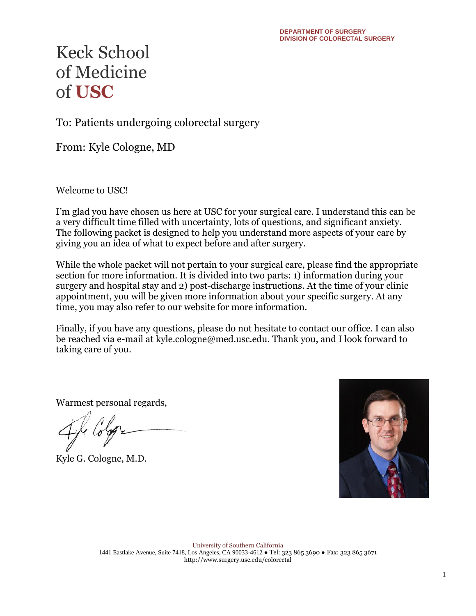To: Patients undergoing colorectal surgery

From: Kyle Cologne, MD

Welcome to USC!

I'm glad you have chosen us here at USC for your surgical care. I understand this can be a very difficult time filled with uncertainty, lots of questions, and significant anxiety. The following packet is designed to help you understand more aspects of your care by giving you an idea of what to expect before and after surgery.

While the whole packet will not pertain to your surgical care, please find the appropriate section for more information. It is divided into two parts: 1) information during your surgery and hospital stay and 2) post-discharge instructions. At the time of your clinic appointment, you will be given more information about your specific surgery. At any time, you may also refer to our website for more information.

Finally, if you have any questions, please do not hesitate to contact our office. I can also be reached via e-mail at kyle.cologne@med.usc.edu. Thank you, and I look forward to taking care of you.

Warmest personal regards,

Kyle G. Cologne, M.D.

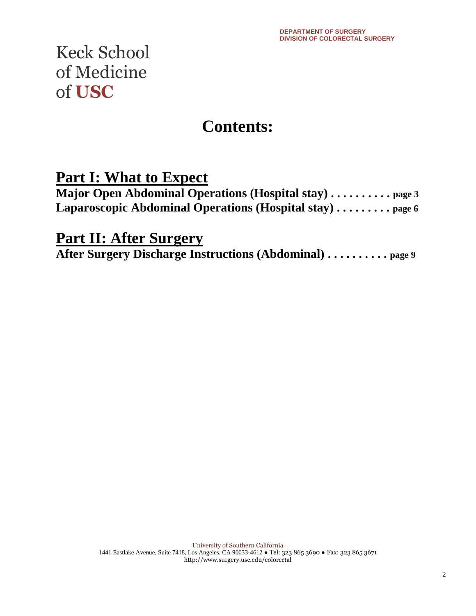### **Contents:**

### **Part I: What to Expect**

| <b>Major Open Abdominal Operations (Hospital stay)</b> $\dots \dots \dots$ page 3 |  |
|-----------------------------------------------------------------------------------|--|
| Laparoscopic Abdominal Operations (Hospital stay)  page 6                         |  |

### **Part II: After Surgery**

**After Surgery Discharge Instructions (Abdominal) . . . . . . . . . . page 9**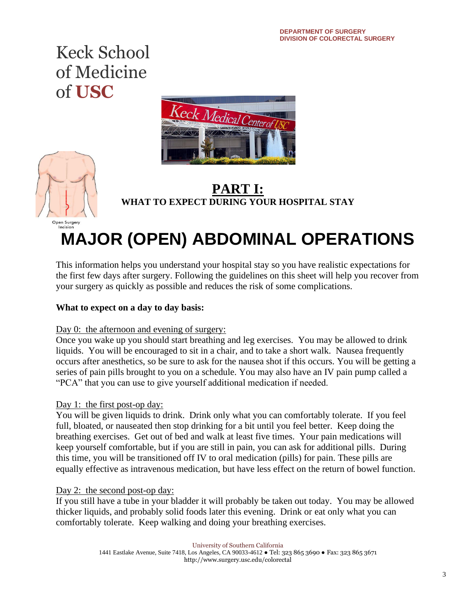



### **PART I: WHAT TO EXPECT DURING YOUR HOSPITAL STAY**

# **MAJOR (OPEN) ABDOMINAL OPERATIONS**

This information helps you understand your hospital stay so you have realistic expectations for the first few days after surgery. Following the guidelines on this sheet will help you recover from your surgery as quickly as possible and reduces the risk of some complications.

#### **What to expect on a day to day basis:**

#### Day 0: the afternoon and evening of surgery:

Once you wake up you should start breathing and leg exercises. You may be allowed to drink liquids. You will be encouraged to sit in a chair, and to take a short walk. Nausea frequently occurs after anesthetics, so be sure to ask for the nausea shot if this occurs. You will be getting a series of pain pills brought to you on a schedule. You may also have an IV pain pump called a "PCA" that you can use to give yourself additional medication if needed.

#### Day 1: the first post-op day:

You will be given liquids to drink. Drink only what you can comfortably tolerate. If you feel full, bloated, or nauseated then stop drinking for a bit until you feel better. Keep doing the breathing exercises. Get out of bed and walk at least five times. Your pain medications will keep yourself comfortable, but if you are still in pain, you can ask for additional pills. During this time, you will be transitioned off IV to oral medication (pills) for pain. These pills are equally effective as intravenous medication, but have less effect on the return of bowel function.

#### Day 2: the second post-op day:

If you still have a tube in your bladder it will probably be taken out today. You may be allowed thicker liquids, and probably solid foods later this evening. Drink or eat only what you can comfortably tolerate. Keep walking and doing your breathing exercises.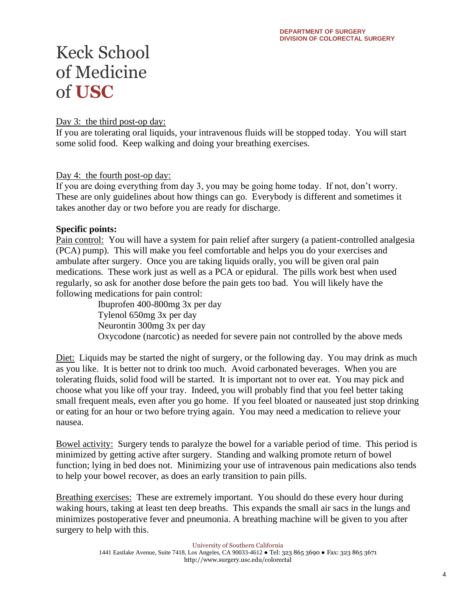Day 3: the third post-op day:

If you are tolerating oral liquids, your intravenous fluids will be stopped today. You will start some solid food. Keep walking and doing your breathing exercises.

Day 4: the fourth post-op day:

If you are doing everything from day 3, you may be going home today. If not, don't worry. These are only guidelines about how things can go. Everybody is different and sometimes it takes another day or two before you are ready for discharge.

#### **Specific points:**

Pain control: You will have a system for pain relief after surgery (a patient-controlled analgesia (PCA) pump). This will make you feel comfortable and helps you do your exercises and ambulate after surgery. Once you are taking liquids orally, you will be given oral pain medications. These work just as well as a PCA or epidural. The pills work best when used regularly, so ask for another dose before the pain gets too bad. You will likely have the following medications for pain control:

> Ibuprofen 400-800mg 3x per day Tylenol 650mg 3x per day Neurontin 300mg 3x per day Oxycodone (narcotic) as needed for severe pain not controlled by the above meds

Diet: Liquids may be started the night of surgery, or the following day. You may drink as much as you like. It is better not to drink too much. Avoid carbonated beverages. When you are tolerating fluids, solid food will be started. It is important not to over eat. You may pick and choose what you like off your tray. Indeed, you will probably find that you feel better taking small frequent meals, even after you go home. If you feel bloated or nauseated just stop drinking or eating for an hour or two before trying again. You may need a medication to relieve your nausea.

Bowel activity: Surgery tends to paralyze the bowel for a variable period of time. This period is minimized by getting active after surgery. Standing and walking promote return of bowel function; lying in bed does not. Minimizing your use of intravenous pain medications also tends to help your bowel recover, as does an early transition to pain pills.

Breathing exercises: These are extremely important. You should do these every hour during waking hours, taking at least ten deep breaths. This expands the small air sacs in the lungs and minimizes postoperative fever and pneumonia. A breathing machine will be given to you after surgery to help with this.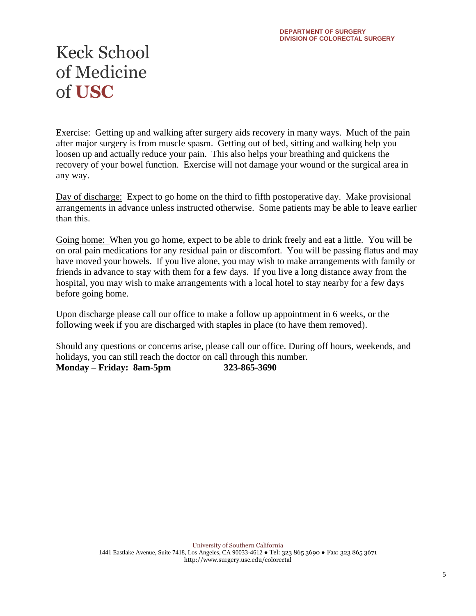Exercise: Getting up and walking after surgery aids recovery in many ways. Much of the pain after major surgery is from muscle spasm. Getting out of bed, sitting and walking help you loosen up and actually reduce your pain. This also helps your breathing and quickens the recovery of your bowel function. Exercise will not damage your wound or the surgical area in any way.

Day of discharge: Expect to go home on the third to fifth postoperative day. Make provisional arrangements in advance unless instructed otherwise. Some patients may be able to leave earlier than this.

Going home: When you go home, expect to be able to drink freely and eat a little. You will be on oral pain medications for any residual pain or discomfort. You will be passing flatus and may have moved your bowels. If you live alone, you may wish to make arrangements with family or friends in advance to stay with them for a few days. If you live a long distance away from the hospital, you may wish to make arrangements with a local hotel to stay nearby for a few days before going home.

Upon discharge please call our office to make a follow up appointment in 6 weeks, or the following week if you are discharged with staples in place (to have them removed).

Should any questions or concerns arise, please call our office. During off hours, weekends, and holidays, you can still reach the doctor on call through this number. **Monday – Friday: 8am-5pm 323-865-3690**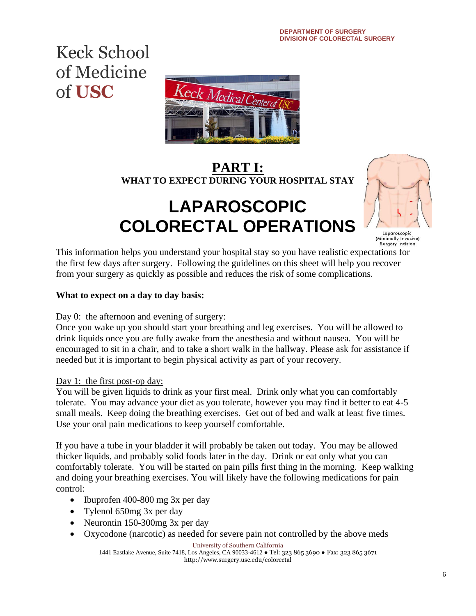

### **PART I: WHAT TO EXPECT DURING YOUR HOSPITAL STAY**

## **LAPAROSCOPIC COLORECTAL OPERATIONS**



Laparoscopic<br>(Minimally Invasive) Surgery Incision

This information helps you understand your hospital stay so you have realistic expectations for the first few days after surgery. Following the guidelines on this sheet will help you recover from your surgery as quickly as possible and reduces the risk of some complications.

#### **What to expect on a day to day basis:**

#### Day 0: the afternoon and evening of surgery:

Once you wake up you should start your breathing and leg exercises. You will be allowed to drink liquids once you are fully awake from the anesthesia and without nausea. You will be encouraged to sit in a chair, and to take a short walk in the hallway. Please ask for assistance if needed but it is important to begin physical activity as part of your recovery.

#### Day 1: the first post-op day:

You will be given liquids to drink as your first meal. Drink only what you can comfortably tolerate. You may advance your diet as you tolerate, however you may find it better to eat 4-5 small meals. Keep doing the breathing exercises. Get out of bed and walk at least five times. Use your oral pain medications to keep yourself comfortable.

If you have a tube in your bladder it will probably be taken out today. You may be allowed thicker liquids, and probably solid foods later in the day. Drink or eat only what you can comfortably tolerate. You will be started on pain pills first thing in the morning. Keep walking and doing your breathing exercises. You will likely have the following medications for pain control:

- Ibuprofen 400-800 mg 3x per day
- Tylenol 650mg 3x per day
- Neurontin 150-300mg 3x per day
- Oxycodone (narcotic) as needed for severe pain not controlled by the above meds

University of Southern California

1441 Eastlake Avenue, Suite 7418, Los Angeles, CA 90033-4612 ● Tel: 323 865 3690 ● Fax: 323 865 3671 http://www.surgery.usc.edu/colorectal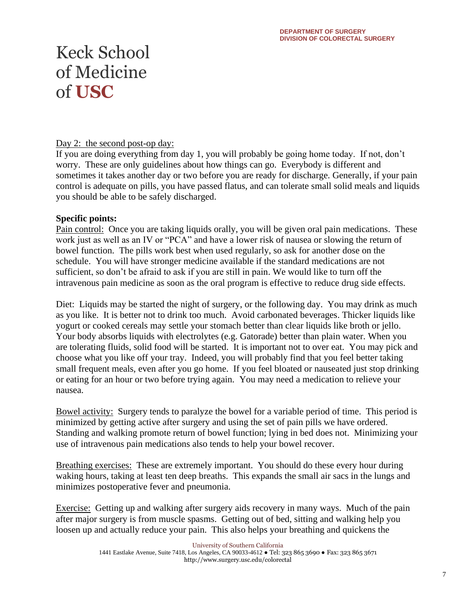#### Day 2: the second post-op day:

If you are doing everything from day 1, you will probably be going home today. If not, don't worry. These are only guidelines about how things can go. Everybody is different and sometimes it takes another day or two before you are ready for discharge. Generally, if your pain control is adequate on pills, you have passed flatus, and can tolerate small solid meals and liquids you should be able to be safely discharged.

#### **Specific points:**

Pain control: Once you are taking liquids orally, you will be given oral pain medications. These work just as well as an IV or "PCA" and have a lower risk of nausea or slowing the return of bowel function. The pills work best when used regularly, so ask for another dose on the schedule. You will have stronger medicine available if the standard medications are not sufficient, so don't be afraid to ask if you are still in pain. We would like to turn off the intravenous pain medicine as soon as the oral program is effective to reduce drug side effects.

Diet: Liquids may be started the night of surgery, or the following day. You may drink as much as you like. It is better not to drink too much. Avoid carbonated beverages. Thicker liquids like yogurt or cooked cereals may settle your stomach better than clear liquids like broth or jello. Your body absorbs liquids with electrolytes (e.g. Gatorade) better than plain water. When you are tolerating fluids, solid food will be started. It is important not to over eat. You may pick and choose what you like off your tray. Indeed, you will probably find that you feel better taking small frequent meals, even after you go home. If you feel bloated or nauseated just stop drinking or eating for an hour or two before trying again. You may need a medication to relieve your nausea.

Bowel activity: Surgery tends to paralyze the bowel for a variable period of time. This period is minimized by getting active after surgery and using the set of pain pills we have ordered. Standing and walking promote return of bowel function; lying in bed does not. Minimizing your use of intravenous pain medications also tends to help your bowel recover.

Breathing exercises: These are extremely important. You should do these every hour during waking hours, taking at least ten deep breaths. This expands the small air sacs in the lungs and minimizes postoperative fever and pneumonia.

Exercise: Getting up and walking after surgery aids recovery in many ways. Much of the pain after major surgery is from muscle spasms. Getting out of bed, sitting and walking help you loosen up and actually reduce your pain. This also helps your breathing and quickens the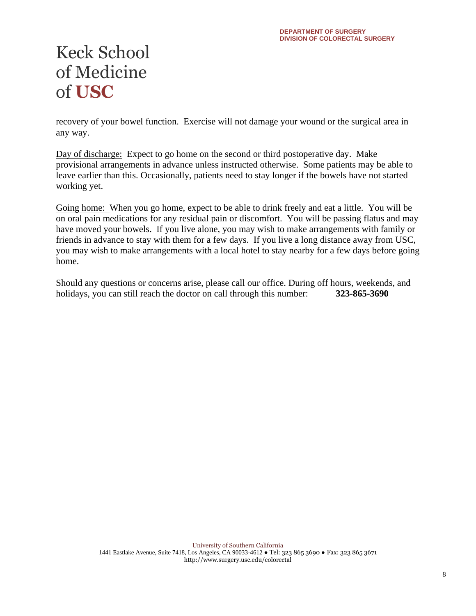recovery of your bowel function. Exercise will not damage your wound or the surgical area in any way.

Day of discharge: Expect to go home on the second or third postoperative day. Make provisional arrangements in advance unless instructed otherwise. Some patients may be able to leave earlier than this. Occasionally, patients need to stay longer if the bowels have not started working yet.

Going home: When you go home, expect to be able to drink freely and eat a little. You will be on oral pain medications for any residual pain or discomfort. You will be passing flatus and may have moved your bowels. If you live alone, you may wish to make arrangements with family or friends in advance to stay with them for a few days. If you live a long distance away from USC, you may wish to make arrangements with a local hotel to stay nearby for a few days before going home.

Should any questions or concerns arise, please call our office. During off hours, weekends, and holidays, you can still reach the doctor on call through this number: **323-865-3690**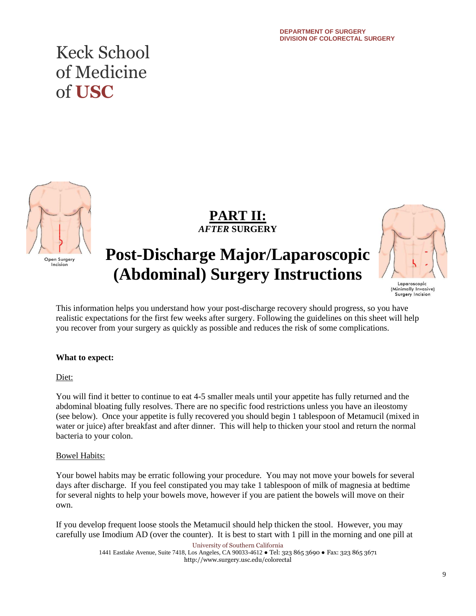

**PART II:**  *AFTER* **SURGERY**

### **Post-Discharge Major/Laparoscopic (Abdominal) Surgery Instructions**



Laparoscopic (Minimally Invasive)<br>Surgery Incision

This information helps you understand how your post-discharge recovery should progress, so you have realistic expectations for the first few weeks after surgery. Following the guidelines on this sheet will help you recover from your surgery as quickly as possible and reduces the risk of some complications.

#### **What to expect:**

Diet:

You will find it better to continue to eat 4-5 smaller meals until your appetite has fully returned and the abdominal bloating fully resolves. There are no specific food restrictions unless you have an ileostomy (see below). Once your appetite is fully recovered you should begin 1 tablespoon of Metamucil (mixed in water or juice) after breakfast and after dinner. This will help to thicken your stool and return the normal bacteria to your colon.

#### Bowel Habits:

Your bowel habits may be erratic following your procedure. You may not move your bowels for several days after discharge. If you feel constipated you may take 1 tablespoon of milk of magnesia at bedtime for several nights to help your bowels move, however if you are patient the bowels will move on their own.

If you develop frequent loose stools the Metamucil should help thicken the stool. However, you may carefully use Imodium AD (over the counter). It is best to start with 1 pill in the morning and one pill at

> University of Southern California 1441 Eastlake Avenue, Suite 7418, Los Angeles, CA 90033-4612 ● Tel: 323 865 3690 ● Fax: 323 865 3671 http://www.surgery.usc.edu/colorectal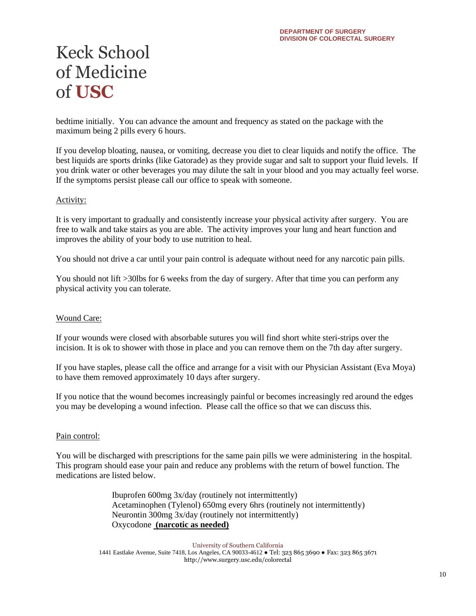bedtime initially. You can advance the amount and frequency as stated on the package with the maximum being 2 pills every 6 hours.

If you develop bloating, nausea, or vomiting, decrease you diet to clear liquids and notify the office. The best liquids are sports drinks (like Gatorade) as they provide sugar and salt to support your fluid levels. If you drink water or other beverages you may dilute the salt in your blood and you may actually feel worse. If the symptoms persist please call our office to speak with someone.

#### Activity:

It is very important to gradually and consistently increase your physical activity after surgery. You are free to walk and take stairs as you are able. The activity improves your lung and heart function and improves the ability of your body to use nutrition to heal.

You should not drive a car until your pain control is adequate without need for any narcotic pain pills.

You should not lift >30lbs for 6 weeks from the day of surgery. After that time you can perform any physical activity you can tolerate.

#### Wound Care:

If your wounds were closed with absorbable sutures you will find short white steri-strips over the incision. It is ok to shower with those in place and you can remove them on the 7th day after surgery.

If you have staples, please call the office and arrange for a visit with our Physician Assistant (Eva Moya) to have them removed approximately 10 days after surgery.

If you notice that the wound becomes increasingly painful or becomes increasingly red around the edges you may be developing a wound infection. Please call the office so that we can discuss this.

#### Pain control:

You will be discharged with prescriptions for the same pain pills we were administering in the hospital. This program should ease your pain and reduce any problems with the return of bowel function. The medications are listed below.

> Ibuprofen 600mg 3x/day (routinely not intermittently) Acetaminophen (Tylenol) 650mg every 6hrs (routinely not intermittently) Neurontin 300mg 3x/day (routinely not intermittently) Oxycodone **(narcotic as needed)**

University of Southern California 1441 Eastlake Avenue, Suite 7418, Los Angeles, CA 90033-4612 ● Tel: 323 865 3690 ● Fax: 323 865 3671 http://www.surgery.usc.edu/colorectal